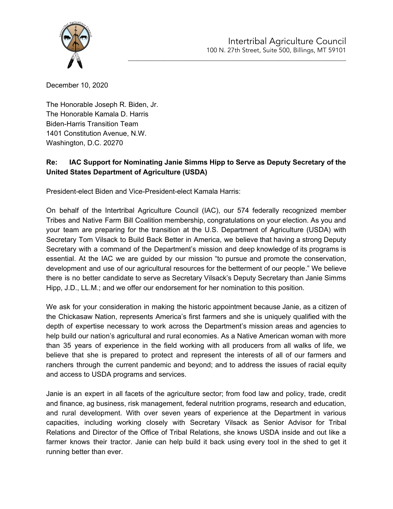

\_\_\_\_\_\_\_\_\_\_\_\_\_\_\_\_\_\_\_\_\_\_\_\_\_\_\_\_\_\_\_\_\_\_\_\_\_\_\_\_\_\_\_\_\_\_\_\_\_\_\_\_\_\_\_\_\_\_\_\_\_\_\_\_\_\_\_\_

December 10, 2020

The Honorable Joseph R. Biden, Jr. The Honorable Kamala D. Harris Biden-Harris Transition Team 1401 Constitution Avenue, N.W. Washington, D.C. 20270

## **Re: IAC Support for Nominating Janie Simms Hipp to Serve as Deputy Secretary of the United States Department of Agriculture (USDA)**

President-elect Biden and Vice-President-elect Kamala Harris:

On behalf of the Intertribal Agriculture Council (IAC), our 574 federally recognized member Tribes and Native Farm Bill Coalition membership, congratulations on your election. As you and your team are preparing for the transition at the U.S. Department of Agriculture (USDA) with Secretary Tom Vilsack to Build Back Better in America, we believe that having a strong Deputy Secretary with a command of the Department's mission and deep knowledge of its programs is essential. At the IAC we are guided by our mission "to pursue and promote the conservation, development and use of our agricultural resources for the betterment of our people." We believe there is no better candidate to serve as Secretary Vilsack's Deputy Secretary than Janie Simms Hipp, J.D., LL.M.; and we offer our endorsement for her nomination to this position.

We ask for your consideration in making the historic appointment because Janie, as a citizen of the Chickasaw Nation, represents America's first farmers and she is uniquely qualified with the depth of expertise necessary to work across the Department's mission areas and agencies to help build our nation's agricultural and rural economies. As a Native American woman with more than 35 years of experience in the field working with all producers from all walks of life, we believe that she is prepared to protect and represent the interests of all of our farmers and ranchers through the current pandemic and beyond; and to address the issues of racial equity and access to USDA programs and services.

Janie is an expert in all facets of the agriculture sector; from food law and policy, trade, credit and finance, ag business, risk management, federal nutrition programs, research and education, and rural development. With over seven years of experience at the Department in various capacities, including working closely with Secretary Vilsack as Senior Advisor for Tribal Relations and Director of the Office of Tribal Relations, she knows USDA inside and out like a farmer knows their tractor. Janie can help build it back using every tool in the shed to get it running better than ever.